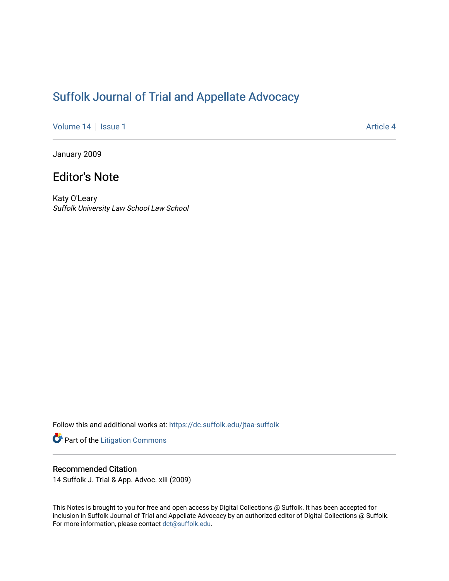# [Suffolk Journal of Trial and Appellate Advocacy](https://dc.suffolk.edu/jtaa-suffolk)

[Volume 14](https://dc.suffolk.edu/jtaa-suffolk/vol14) | [Issue 1](https://dc.suffolk.edu/jtaa-suffolk/vol14/iss1) Article 4

January 2009

# Editor's Note

Katy O'Leary Suffolk University Law School Law School

Follow this and additional works at: [https://dc.suffolk.edu/jtaa-suffolk](https://dc.suffolk.edu/jtaa-suffolk?utm_source=dc.suffolk.edu%2Fjtaa-suffolk%2Fvol14%2Fiss1%2F4&utm_medium=PDF&utm_campaign=PDFCoverPages) 

Part of the [Litigation Commons](https://network.bepress.com/hgg/discipline/910?utm_source=dc.suffolk.edu%2Fjtaa-suffolk%2Fvol14%2Fiss1%2F4&utm_medium=PDF&utm_campaign=PDFCoverPages)

### Recommended Citation

14 Suffolk J. Trial & App. Advoc. xiii (2009)

This Notes is brought to you for free and open access by Digital Collections @ Suffolk. It has been accepted for inclusion in Suffolk Journal of Trial and Appellate Advocacy by an authorized editor of Digital Collections @ Suffolk. For more information, please contact [dct@suffolk.edu](mailto:dct@suffolk.edu).